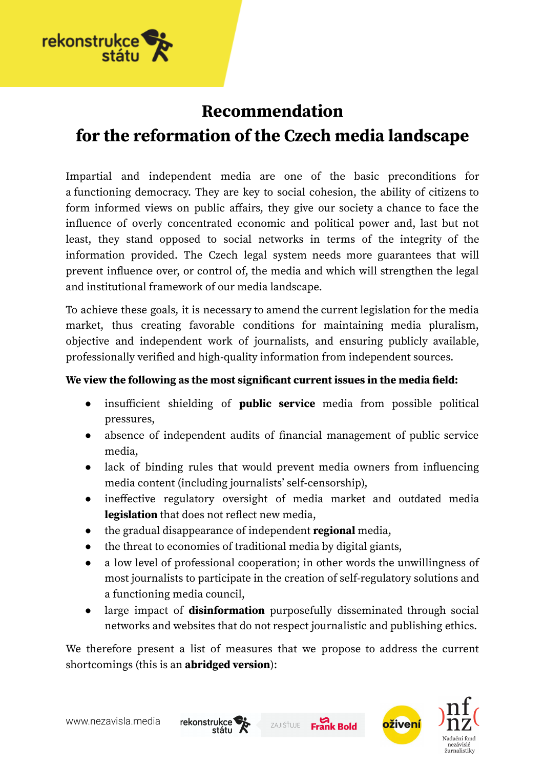

# **Recommendation for the reformation of the Czech media landscape**

Impartial and independent media are one of the basic preconditions for a functioning democracy. They are key to social cohesion, the ability of citizens to form informed views on public affairs, they give our society a chance to face the influence of overly concentrated economic and political power and, last but not least, they stand opposed to social networks in terms of the integrity of the information provided. The Czech legal system needs more guarantees that will prevent influence over, or control of, the media and which will strengthen the legal and institutional framework of our media landscape.

To achieve these goals, it is necessary to amend the current legislation for the media market, thus creating favorable conditions for maintaining media pluralism, objective and independent work of journalists, and ensuring publicly available, professionally verified and high-quality information from independent sources.

#### **We view the following as the most significant current issues in the media field:**

- insufficient shielding of **public service** media from possible political pressures,
- absence of independent audits of financial management of public service media,
- lack of binding rules that would prevent media owners from influencing media content (including journalists' self-censorship),
- ineffective regulatory oversight of media market and outdated media **legislation** that does not reflect new media,
- the gradual disappearance of independent **regional** media,
- the threat to economies of traditional media by digital giants,
- a low level of professional cooperation; in other words the unwillingness of most journalists to participate in the creation of self-regulatory solutions and a functioning media council,
- large impact of **disinformation** purposefully disseminated through social networks and websites that do not respect journalistic and publishing ethics.

We therefore present a list of measures that we propose to address the current shortcomings (this is an **abridged version**):



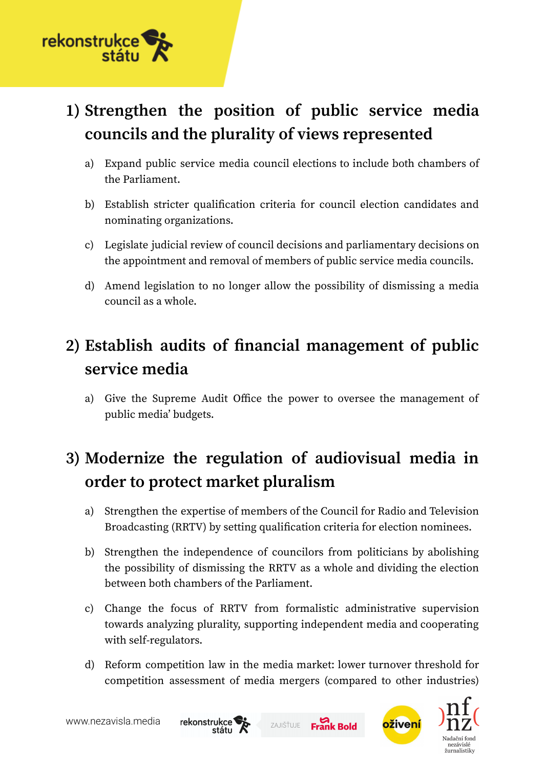

# **1) Strengthen the position of public service media councils and the plurality of views represented**

- a) Expand public service media council elections to include both chambers of the Parliament.
- b) Establish stricter qualification criteria for council election candidates and nominating organizations.
- c) Legislate judicial review of council decisions and parliamentary decisions on the appointment and removal of members of public service media councils.
- d) Amend legislation to no longer allow the possibility of dismissing a media council as a whole.

## **2) Establish audits of financial management of public service media**

a) Give the Supreme Audit Office the power to oversee the management of public media' budgets.

## **3) Modernize the regulation of audiovisual media in order to protect market pluralism**

- a) Strengthen the expertise of members of the Council for Radio and Television Broadcasting (RRTV) by setting qualification criteria for election nominees.
- b) Strengthen the independence of councilors from politicians by abolishing the possibility of dismissing the RRTV as a whole and dividing the election between both chambers of the Parliament.
- c) Change the focus of RRTV from formalistic administrative supervision towards analyzing plurality, supporting independent media and cooperating with self-regulators.
- d) Reform competition law in the media market: lower turnover threshold for competition assessment of media mergers (compared to other industries)